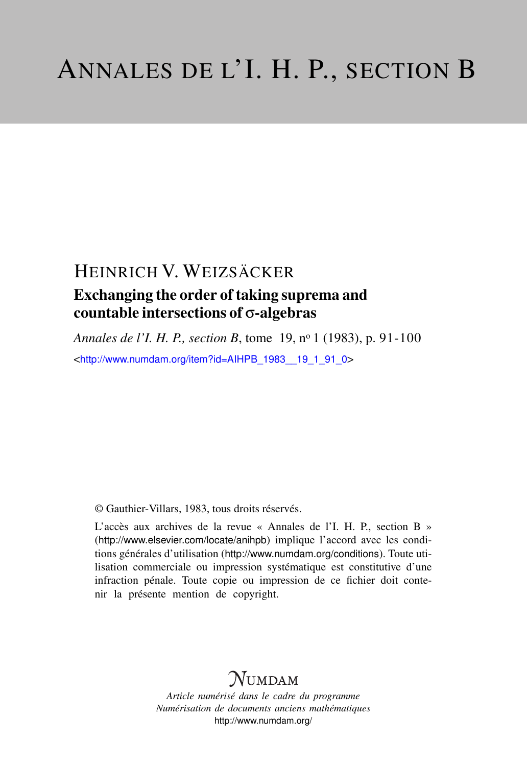## HEINRICH V. WEIZSÄCKER

## Exchanging the order of taking suprema and countable intersections of σ-algebras

*Annales de l'I. H. P., section B*, tome 19, n<sup>o</sup> 1 (1983), p. 91-100 <[http://www.numdam.org/item?id=AIHPB\\_1983\\_\\_19\\_1\\_91\\_0](http://www.numdam.org/item?id=AIHPB_1983__19_1_91_0)>

© Gauthier-Villars, 1983, tous droits réservés.

L'accès aux archives de la revue « Annales de l'I. H. P., section B » (<http://www.elsevier.com/locate/anihpb>) implique l'accord avec les conditions générales d'utilisation (<http://www.numdam.org/conditions>). Toute utilisation commerciale ou impression systématique est constitutive d'une infraction pénale. Toute copie ou impression de ce fichier doit contenir la présente mention de copyright.

# $N$ UMDAM

*Article numérisé dans le cadre du programme Numérisation de documents anciens mathématiques* <http://www.numdam.org/>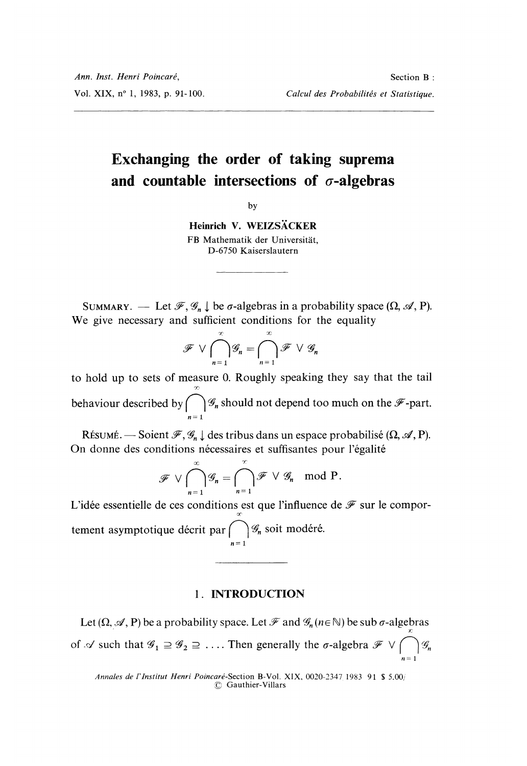## Exchanging the order of taking suprema and countable intersections of  $\sigma$ -algebras

by

Heinrich V. WEIZSÄCKER FB Mathematik der Universität, D-6750 Kaiserslautern

SUMMARY. — Let  $\mathscr{F}, \mathscr{G}_n \downarrow$  be  $\sigma$ -algebras in a probability space  $(\Omega, \mathscr{A}, P)$ . We give necessary and sufficient conditions for the equality

$$
\mathscr{F} \vee \bigcap_{n=1}^{\infty} \mathscr{G}_n = \bigcap_{n=1}^{\infty} \mathscr{F} \vee \mathscr{G}_n
$$

to hold up to sets of measure 0. Roughly speaking they say that the tail behaviour described by  $\bigcap_{n=1}^{\infty}$  should not depend too much on the  $\mathcal{F}$ -part.

RÉSUMÉ. — Soient  $\mathcal{F}, \mathcal{G}_n \downarrow$  des tribus dans un espace probabilisé  $(\Omega, \mathcal{A}, P)$ . On donne des conditions nécessaires et suffisantes pour l'égalité

$$
\mathscr{F}\vee\bigcap_{n=1}^{\infty}\mathscr{G}_n=\bigcap_{n=1}^{\infty}\mathscr{F}\vee\mathscr{G}_n \mod P.
$$

L'idée essentielle de ces conditions est que l'influence de  $\mathscr F$  sur le comporor' tement asymptotique décrit par  $\bigcap_{n=1}^{\infty} \mathcal{G}_n$  soit modéré.

## 1. INTRODUCTION

Let  $(\Omega, \mathcal{A}, P)$  be a probability space. Let  $\mathcal{F}$  and  $\mathcal{G}_n$  ( $n \in \mathbb{N}$ ) be sub  $\sigma$ -algebras of  $\mathscr A$  such that  $\mathscr G_1 \supseteq \mathscr G_2 \supseteq \ldots$ . Then generally the  $\sigma$ -algebra  $\mathscr F \vee \emptyset$  $n=1$ 

Annales de l'Institut Henri Poincaré-Section B-Vol. XIX, 0020-2347 1983 91 \$ 5.00/  $~$  Gauthier-Villars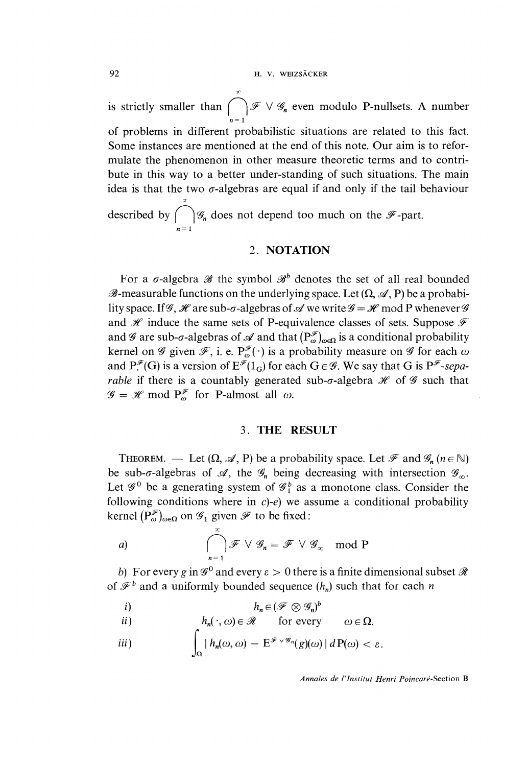is strictly smaller than  $\bigcap_{n=1}^{\infty} \mathscr{F} \vee \mathscr{G}_n$  even modulo P-nullsets. A number of problems in different probabilistic situations are related to this fact. Some instances are mentioned at the end of this note. Our aim is to reformulate the phenomenon in other measure theoretic terms and to contribute in this way to a better under-standing of such situations. The main idea is that the two  $\sigma$ -algebras are equal if and only if the tail behaviour x described by  $\bigcap_{n=1}^{\infty} \mathcal{G}_n$  does not depend too much on the  $\mathscr{F}$ -part.

## 2. NOTATION

For a  $\sigma$ -algebra  $\mathscr B$  the symbol  $\mathscr B^b$  denotes the set of all real bounded  $\mathscr{B}$ -measurable functions on the underlying space. Let  $(\Omega, \mathscr{A}, P)$  be a probability space. If  $\mathcal{G}, \mathcal{H}$  are sub- $\sigma$ -algebras of  $\mathcal{A}$  we write  $\mathcal{G} = \mathcal{H}$  mod P whenever  $\mathcal{G}$ and  $\mathcal H$  induce the same sets of P-equivalence classes of sets. Suppose  $\mathcal F$ and  $\mathscr G$  are sub- $\sigma$ -algebras of  $\mathscr A$  and that  $(P_{\omega}^{\mathscr F})_{\omega \in \Omega}$  is a conditional probability kernel on  $\mathscr G$  given  $\mathscr F$ , i. e.  $P^{\mathscr F}_{\omega}(\cdot)$  is a probability measure on  $\mathscr G$  for each  $\omega$ and  $P^{\mathscr{F}}(G)$  is a version of  $E^{\mathscr{F}}(1_G)$  for each  $G \in \mathscr{G}$ . We say that G is  $P^{\mathscr{F}}$ -sepa*rable* if there is a countably generated sub- $\sigma$ -algebra  $\mathcal H$  of  $\mathcal G$  such that  $\mathscr{G} = \mathscr{H}$  mod  $P_{\omega}^{\mathscr{F}}$  for P-almost all  $\omega$ .

## 3. THE RESULT

THEOREM. — Let  $(\Omega, \mathcal{A}, P)$  be a probability space. Let  $\mathcal{F}$  and  $\mathcal{G}_n$  ( $n \in \mathbb{N}$ ) be sub- $\sigma$ -algebras of  $\mathcal{A}$ , the  $\mathcal{G}_n$  being decreasing with intersection  $\mathcal{G}_{\infty}$ . Let  $\mathscr{G}^0$  be a generating system of  $\mathscr{G}_1^b$  as a monotone class. Consider the following conditions where in  $c$ )- $e$ ) we assume a conditional probability kernel  $(P_{\omega}^{\mathscr{F}})_{\omega \in \Omega}$  on  $\mathscr{G}_1$  given  $\mathscr{F}$  to be fixed:

a) 
$$
\bigcap_{n=1}^{\infty} \mathscr{F} \vee \mathscr{G}_n = \mathscr{F} \vee \mathscr{G}_{\infty} \mod P
$$

b) For every g in  $\mathscr{G}^0$  and every  $\varepsilon > 0$  there is a finite dimensional subset  $\mathscr{R}$ of  $\mathcal{F}^b$  and a uniformly bounded sequence  $(h_n)$  such that for each n

$$
i) \t\t\t\t h_n \in (\mathscr{F} \otimes \mathscr{G}_n)^b
$$

*i*(*i*) 
$$
h_n(\cdot, \omega) \in \mathcal{R}
$$
 for every  $\omega \in \Omega$ .

$$
\text{iii)} \qquad \qquad \int_{\Omega} |h_n(\omega, \omega) - \mathbf{E}^{\mathscr{F} \vee \mathscr{G}_n}(g)(\omega)| \, d\mathbf{P}(\omega) < \varepsilon.
$$

Annales de 1'Institut Henri Poincaré-Section B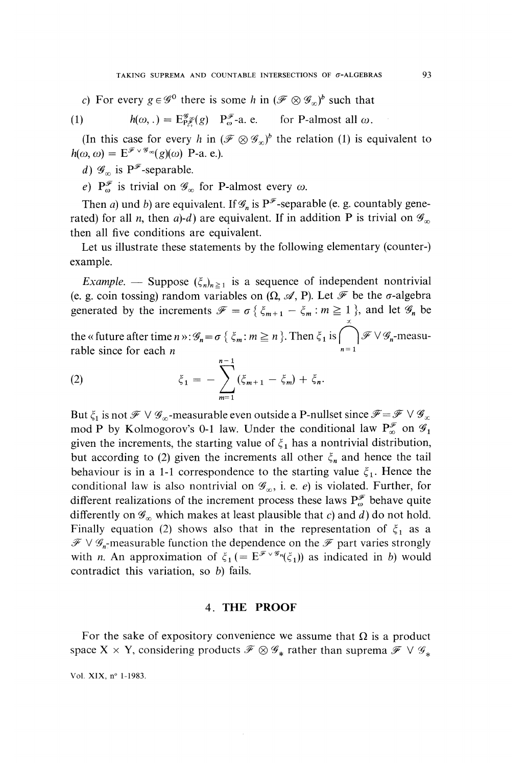c) For every  $g \in \mathscr{G}^0$  there is some h in  $(\mathscr{F} \otimes \mathscr{G}_n)^b$  such that

(1) 
$$
h(\omega,.) = \mathbb{E}_{P_{\infty}}^{\mathscr{G}}(g) \quad P_{\omega}^{\mathscr{F}}\text{-a.e.}
$$
 for P-almost all  $\omega$ .

(In this case for every h in  $(\mathscr{F} \otimes \mathscr{G}_n)^b$  the relation (1) is equivalent to  $h(\omega, \omega) = E^{\mathscr{F} \vee \mathscr{G}_\infty}(g)(\omega)$  P-a. e.).

d)  $\mathscr{G}_{\infty}$  is P<sup> $\mathscr{F}$ </sup>-separable.

e)  $P_{\omega}^{\mathscr{F}}$  is trivial on  $\mathscr{G}_{\infty}$  for P-almost every  $\omega$ .

Then a) und b) are equivalent. If  $\mathscr{G}_n$  is P<sup> $\mathscr{F}$ </sup>-separable (e. g. countably generated) for all *n*, then a)-d) are equivalent. If in addition P is trivial on  $\mathscr{G}_{\infty}$ then all five conditions are equivalent.

Let us illustrate these statements by the following elementary (counter-) example.

*Example.* — Suppose  $(\xi_n)_{n\geq 1}$  is a sequence of independent nontrivial (e. g. coin tossing) random variables on  $(\Omega, \mathcal{A}, P)$ . Let  $\mathcal F$  be the  $\sigma$ -algebra generated by the increments  $\mathscr{F} = \sigma \{\xi_{m+1} - \xi_m : m \ge 1 \}$ , and let  $\mathscr{G}_n$  be

the « future after time  $n \gg : \mathscr{G}_n = \sigma \{ \xi_m : m \geq n \}$ . Then  $\xi_1$  is  $\bigcap_{n=1}^{\infty} \mathscr{F} \vee \mathscr{G}_n$ -measurable since for each  $n$ 

(2) 
$$
\xi_1 = -\sum_{m=1}^{n-1} (\xi_{m+1} - \xi_m) + \xi_n.
$$

But  $\xi_1$  is not  $\mathscr{F} \vee \mathscr{G}_\infty$ -measurable even outside a P-nullset since  $\mathscr{F} = \mathscr{F} \vee \mathscr{G}_\infty$ mod P by Kolmogorov's 0-1 law. Under the conditional law  $P_{\infty}^{\mathscr{F}}$  on  $\mathscr{G}_1$ given the increments, the starting value of  $\xi_1$  has a nontrivial distribution, but according to (2) given the increments all other  $\xi_n$  and hence the tail behaviour is in a 1-1 correspondence to the starting value  $\xi_1$ . Hence the conditional law is also nontrivial on  $\mathscr{G}_{\infty}$ , i. e. e) is violated. Further, for different realizations of the increment process these laws  $P^{\mathscr{F}}_{\omega}$  behave quite differently on  $\mathscr{G}_{\infty}$  which makes at least plausible that c) and d) do not hold. Finally equation (2) shows also that in the representation of  $\xi_1$  as a  $\mathscr{F} \vee \mathscr{G}_n$ -measurable function the dependence on the  $\mathscr{F}$  part varies strongly with *n*. An approximation of  $\xi_1$  (=  $E^{\mathscr{F} \vee \mathscr{G}_n}(\xi_1)$ ) as indicated in *b*) would contradict this variation, so b) fails.

## 4. THE PROOF

For the sake of expository convenience we assume that  $\Omega$  is a product space X  $\times$  Y, considering products  $\mathcal{F} \otimes \mathcal{G}_*$  rather than suprema  $\mathcal{F} \vee \mathcal{G}_*$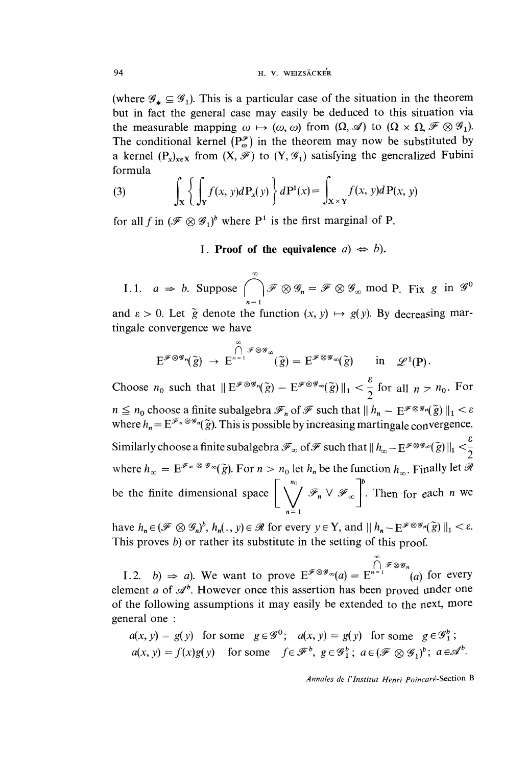(where  $\mathscr{G}_* \subseteq \mathscr{G}_1$ ). This is a particular case of the situation in the theorem but in fact the general case may easily be deduced to this situation via the measurable mapping  $\omega \mapsto (\omega, \omega)$  from  $(\Omega, \mathcal{A})$  to  $(\Omega \times \Omega, \mathcal{F} \otimes \mathcal{G}_1)$ . The conditional kernel  $(P_{\omega}^{\mathscr{F}})$  in the theorem may now be substituted by a kernel  $(P_x)_{x\in X}$  from  $(X, \mathcal{F})$  to  $(Y, \mathcal{G}_1)$  satisfying the generalized Fubini formula

(3) 
$$
\int_{\mathbf{X}} \left\{ \int_{\mathbf{Y}} f(x, y) d\mathbf{P}_x(y) \right\} d\mathbf{P}^1(x) = \int_{\mathbf{X} \times \mathbf{Y}} f(x, y) d\mathbf{P}(x, y)
$$

for all f in  $({\mathscr{F}} \otimes {\mathscr{G}}_1)^b$  where P<sup>1</sup> is the first marginal of P.

I. Proof of the equivalence  $a \Rightarrow b$ .

1.1.  $a \Rightarrow b$ . Suppose  $\bigcap_{n=1}^{\infty} \mathcal{F} \otimes \mathcal{G}_n = \mathcal{F} \otimes \mathcal{G}_{\infty} \mod P$ . Fix g in  $\mathcal{G}^0$ 

and  $\varepsilon > 0$ . Let  $\tilde{g}$  denote the function  $(x, y) \mapsto g(y)$ . By decreasing martingale convergence we have

$$
E^{\mathscr{F} \otimes \mathscr{G}_n}(\widetilde{g}) \to E^{n=1}^{\bigcap_{\widetilde{g}} \mathscr{F} \otimes \mathscr{G}_\infty}(\widetilde{g}) = E^{\mathscr{F} \otimes \mathscr{G}_\infty}(\widetilde{g}) \quad \text{in} \quad \mathscr{L}^1(P).
$$

Choose  $n_0$  such that  $||E^{\mathscr{F}\otimes\mathscr{G}_n}(\tilde{g}) - E^{\mathscr{F}\otimes\mathscr{G}_\infty}(\tilde{g})||_1 < \frac{\varepsilon}{2}$  for all  $n > n_0$ . For  $n \leq n_0$  choose a finite subalgebra  $\mathcal{F}_n$  of  $\mathcal{F}$  such that  $|| h_n - E^{\mathcal{F} \otimes \mathcal{G}_n}(\tilde{g}) ||_1 < \varepsilon$ where  $h_n = E^{\mathscr{F}_n \otimes \mathscr{G}_n}(\tilde{g})$ . This is possible by increasing martingale convergence. Similarly choose a finite subalgebra  $\mathscr{F}_\infty$  of  $\mathscr{F}$  such that  $||h_\infty-\mathrm{E}^{\mathscr{F}\otimes\mathscr{G}_\infty}(\widetilde{g})||_1<\frac{\varepsilon}{2}$ where  $h_{\infty} = E^{\mathscr{F}_{\infty}} \otimes \mathscr{G}_{\infty}(\tilde{g})$ . For  $n > n_0$  let  $h_n$  be the function  $h_{\infty}$ . Finally let  $\mathscr{R}$ be the finite dimensional space  $\left[\bigvee^{n_0} \mathcal{F}_n \vee \mathcal{F}_\infty\right]^b$ . Then for each *n* we  $n=1$ 

have  $h_n \in (\mathscr{F} \otimes \mathscr{G}_n)^b$ ,  $h_n(., y) \in \mathscr{R}$  for every  $y \in Y$ , and  $|| h_n - E^{\mathscr{F} \otimes \mathscr{G}_n}(\tilde{g}) ||_1 < \varepsilon$ . This proves  $b$ ) or rather its substitute in the setting of this proof.

1.2. b)  $\Rightarrow$  a). We want to prove  $E^{\mathscr{F}\otimes\mathscr{G}_{\infty}}(a) = E^{n=1}$  (a) for every element a of  $\mathcal{A}^b$ . However once this assertion has been proved under one of the following assumptions it may easily be extended to the next, more general one :

 $a(x, y) = g(y)$  for some  $g \in \mathscr{G}^0$ ;  $a(x, y) = g(y)$  for some  $g \in \mathscr{G}_1^b$ ;  $a(x, y) = f(x)g(y)$  for some  $f \in \mathcal{F}^b$ ,  $g \in \mathcal{G}_1^b$ ;  $a \in (\mathcal{F} \otimes \mathcal{G}_1)^b$ ;  $a \in \mathcal{A}^b$ .

Annales de l'Institut Henri Poincaré-Section B

oo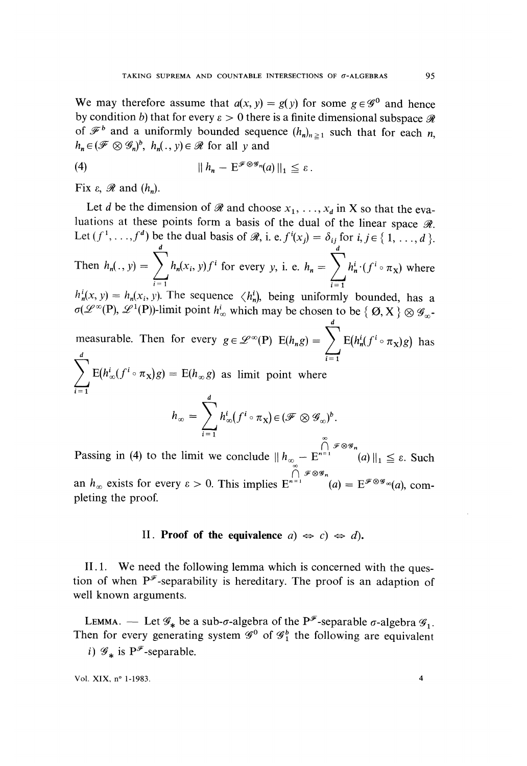We may therefore assume that  $a(x, y) = g(y)$  for some  $g \in \mathcal{G}^0$  and hence by condition b) that for every  $\varepsilon > 0$  there is a finite dimensional subspace  $\mathcal{R}$ of  $\mathcal{F}^b$  and a uniformly bounded sequence  $(h_n)_{n\geq 1}$  such that for each n,  $h_n \in (\mathscr{F} \otimes \mathscr{G}_n)^b$ ,  $h_n(. , y) \in \mathscr{R}$  for all y and

$$
\| h_n - \mathbf{E}^{\mathscr{F} \otimes \mathscr{G}_n}(a) \|_1 \leq \varepsilon \, .
$$

Fix  $\varepsilon$ ,  $\Re$  and  $(h_n)$ .

Let d be the dimension of  $\mathscr R$  and choose  $x_1, \ldots, x_d$  in X so that the evaluations at these points form a basis of the dual of the linear space  $\mathcal{R}$ . Let  $(f^1, \ldots, f^d)$  be the dual basis of  $\mathcal{R}$ , i. e.  $f^i(x_j) = \delta_{ij}$  for  $i, j \in \{1, \ldots, d\}$ . Then  $h_n(x, y) = \int h_n(x, y)f^i$  for every y, i. e.  $h_n = \int h_n^i (f^i \circ \pi_X)$  where  $i=1$  i=1  $h_n^i(x, y) = h_n(x_i, y)$ . The sequence  $\langle h_n^i \rangle$ , being uniformly bounded, has a  $\sigma(\mathcal{L}^{\infty}(P), \mathcal{L}^{1}(P))$ -limit point  $h_{\infty}^{i}$  which may be chosen to be  $\{ \emptyset, X \} \otimes \mathcal{G}_{\infty}$ d measurable. Then for every  $g \in \mathscr{L}^{\infty}(\mathbb{P})$   $E(h_n g) = \sum E(h_n^i (f^i \circ \pi_X) g)$  has  $\frac{d}{i=1}$  $= E(h_{\infty}g)$  as limit point where  $h_{\infty} = \sum^{a} h_{\infty}^{i}(f^{i} \circ \pi_{X}) \in (\mathscr{F} \otimes \mathscr{G}_{\infty})^{b}.$  $\bigcap_i$  is

Passing in (4) to the limit we conclude  $||h_{\infty} - E^{n=1}$  (a)  $||_1 \le \varepsilon$ . Such an  $h_{\infty}$  exists for every  $\varepsilon > 0$ . This implies  $E^{n=1}$   $(a) = E^{\mathscr{F} \otimes \mathscr{G}_{\infty}}(a)$ , completing the proof.

## II. Proof of the equivalence  $a) \Leftrightarrow c) \Leftrightarrow d$ .

II.1. We need the following lemma which is concerned with the question of when  $P^{\mathcal{F}}$ -separability is hereditary. The proof is an adaption of well known arguments.

LEMMA. — Let  $\mathscr{G}_*$  be a sub- $\sigma$ -algebra of the P<sup> $\mathscr{F}$ </sup>-separable  $\sigma$ -algebra  $\mathscr{G}_1$ . Then for every generating system  $\mathcal{C}^0$  of  $\mathcal{C}^1$  the following are equivalent i)  $\mathscr{G}_*$  is  $P^{\mathscr{F}}$ -separable.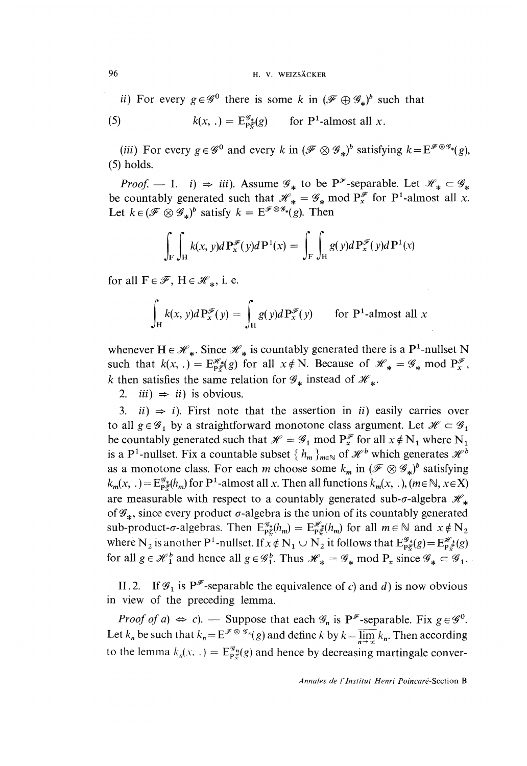#### 96 H. V. WEIZSÄCKER

ii) For every  $g \in \mathscr{G}^0$  there is some k in  $(\mathscr{F} \oplus \mathscr{G}_*)^b$  such that

(5) 
$$
k(x, .) = \mathbb{E}_{\mathsf{P}_{\mathcal{E}}^{\mathcal{G}_{*}}}(g) \quad \text{for } \mathsf{P}^1\text{-almost all } x.
$$

(iii) For every  $g \in \mathscr{G}^0$  and every k in  $(\mathscr{F} \otimes \mathscr{G}_*)^b$  satisfying  $k = E^{\mathscr{F} \otimes \mathscr{G}_{*}}(g)$ , (5) holds.

*Proof.*  $- 1$ . *i*)  $\Rightarrow$  *iii*). Assume  $\mathscr{G}_*$  to be  $P^{\mathscr{F}}$ -separable. Let  $\mathscr{H}_* \subset \mathscr{G}_*$ be countably generated such that  $\mathcal{H}_* = \mathcal{G}_*$  mod  $P_*^{\mathcal{F}}$  for P<sup>1</sup>-almost all x. Let  $k \in (\mathscr{F} \otimes \mathscr{G}_*)^b$  satisfy  $k = E^{\mathscr{F} \otimes \mathscr{G}_*(g)}$ . Then

$$
\int_{\mathcal{F}} \int_{\mathcal{H}} k(x, y) d \mathbf{P}_x^{\mathcal{F}}(y) d \mathbf{P}^1(x) = \int_{\mathcal{F}} \int_{\mathcal{H}} g(y) d \mathbf{P}_x^{\mathcal{F}}(y) d \mathbf{P}^1(x)
$$

for all  $F \in \mathscr{F}$ ,  $H \in \mathscr{H}_*$ , i. e.

$$
\int_{H} k(x, y)dP_x^{\mathscr{F}}(y) = \int_{H} g(y)dP_x^{\mathscr{F}}(y) \quad \text{for P1-almost all } x
$$

whenever  $H \in \mathcal{H}_*$ . Since  $\mathcal{H}_*$  is countably generated there is a P<sup>1</sup>-nullset N such that  $k(x, .) = E_{p\xi}^{m*}(g)$  for all  $x \notin N$ . Because of  $\mathcal{H}_* = \mathcal{G}_*$  mod  $P_x^{\mathcal{F}}$ , k then satisfies the same relation for  $\mathscr{G}_*$  instead of  $\mathscr{H}_*$ .

2. *iii*)  $\Rightarrow$  *ii*) is obvious.

3. *ii*)  $\Rightarrow$  *i*). First note that the assertion in *ii*) easily carries over to all  $g \in \mathscr{G}_1$  by a straightforward monotone class argument. Let  $\mathscr{H} \subset \mathscr{G}_1$ be countably generated such that  $\mathcal{H} = \mathcal{G}_1$  mod  $P_x^{\mathcal{F}}$  for all  $x \notin N_1$  where  $N_1$ is a P<sup>1</sup>-nullset. Fix a countable subset  $\{h_m\}_{m\in\mathbb{N}}$  of  $\mathcal{H}^b$  which generates  $\mathcal{H}^b$ as a monotone class. For each m choose some  $k_m$  in  $(\mathscr{F} \otimes \mathscr{G}_*)^b$  satisfying  $k_m(x,.) = E_{\text{P}\xi}^{\mathscr{G}_k}(h_m)$  for P<sup>1</sup>-almost all x. Then all functions  $k_m(x,.)$ , ( $m \in \mathbb{N}, x \in X$ ) are measurable with respect to a countably generated sub- $\sigma$ -algebra  $\mathcal{H}_*$  of  $\mathcal{G}_*$ , since every product  $\sigma$ -algebra is the union of its countably generated sub-product- $\sigma$ -algebras. Then  $E_{p\xi}^{\mathscr{G}_*}(h_m) = E_{p\xi}^{\mathscr{H}_*}(h_m)$  for all  $m \in \mathbb{N}$  and  $x \notin N_2$ where N<sub>2</sub> is another P<sup>1</sup>-nullset. If  $x \notin N_1 \cup N_2$  it follows that  $E_{p\xi}^{\mathscr{G}_{*}}(g) = E_{p\xi}^{\mathscr{H}_{*}}(g)$ for all  $g \in \mathcal{H}_1^b$  and hence all  $g \in \mathcal{G}_1^b$ . Thus  $\mathcal{H}_* = \mathcal{G}_*$  mod  $P_x$  since  $\mathcal{G}_* \subset \mathcal{G}_1$ .

II.2. If  $\mathcal{G}_1$  is P<sup> $\mathcal{F}_2$ </sup>-separable the equivalence of c) and d) is now obvious in view of the preceding lemma.

*Proof of a*)  $\Leftrightarrow$  *c*). — Suppose that each  $\mathcal{G}_n$  is P<sup> $\mathcal{F}$ </sup>-separable. Fix  $g \in \mathcal{G}^0$ . Let  $k_n$  be such that  $k_n = E^{\mathcal{F} \otimes \mathcal{G}_n}(g)$  and define k by  $k = \overline{\lim_{n \to \infty}} k_n$ . Then according to the lemma  $k_n(x, \cdot) = E_{\text{P}\xi}^{\mathcal{G}_n}(g)$  and hence by decreasing martingale conver-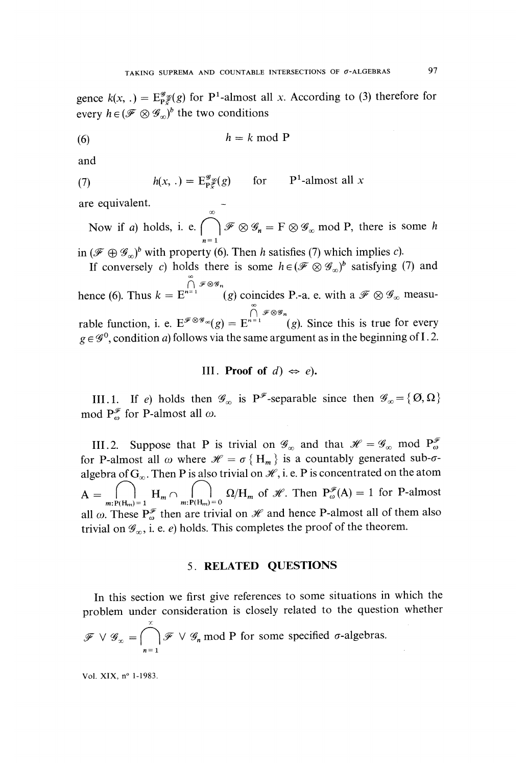gence  $k(x, .) = E_{\mathbf{p}, \tilde{\mathcal{F}}}^{\mathcal{G}}(g)$  for P<sup>1</sup>-almost all x. According to (3) therefore for every  $h \in (\mathcal{F} \otimes \mathcal{G}_n)^b$  the two conditions

$$
(6) \t\t\t h = k \bmod P
$$

and

(7) 
$$
h(x, .) = \mathbb{E}_{\mathbb{P}_{x}^{\mathscr{G}}}(g) \quad \text{for} \quad \mathbb{P}^{1} \text{-almost all } x
$$

are equivalent.<br>Now if a) holds, i. e.  $\bigcap_{n=0}^{\infty} \mathcal{F} \otimes \mathcal{G}_n = F \otimes \mathcal{G}_{\infty}$  mod P, there is some h  $n=1$ 

in  $({\mathscr{F}} \oplus {\mathscr{G}}_{\alpha})^b$  with property (6). Then h satisfies (7) which implies c).

If conversely c) holds there is some  $h \in (\mathscr{F} \otimes \mathscr{G}_{\infty})^b$  satisfying (7) and 00 hence (6). Thus  $k = E^{n=1}$  (g) coincides P.-a. e. with a  $\mathscr{F} \otimes \mathscr{G}_{\infty}$  measurable function, i. e.  $E^{\mathscr{F} \otimes \mathscr{G}_\infty}(g) = E^{n-1}$  (g). Since this is true for every  $g \in \mathscr{G}^0$ , condition a) follows via the same argument as in the beginning of I.2.

III. Proof of  $d$ )  $\Leftrightarrow$  e).

III.1. If e) holds then  $\mathscr{G}_{\infty}$  is P<sup> $\mathscr{F}$ </sup>-separable since then  $\mathscr{G}_{\infty} = {\{\emptyset, \Omega\}}$ mod  $P_{\omega}^{\mathscr{F}}$  for P-almost all  $\omega$ .

III.2. Suppose that P is trivial on  $\mathscr{G}_{\infty}$  and that  $\mathscr{H} = \mathscr{G}_{\infty}$  mod  $P_{\omega}^{\mathscr{F}}$ for P-almost all  $\omega$  where  $\mathcal{H} = \sigma \{H_m\}$  is a countably generated sub- $\sigma$ algebra of  $G_{\infty}$ . Then P is also trivial on  $\mathcal{H}$ , i. e. P is concentrated on the atom  $A = \bigcap_{m:P(H_m)=1}^{\infty} H_m \cap \bigcap_{m:P(H_m)=0}^{\infty} \Omega/H_m$  of  $\mathcal{H}$ . Then  $P_{\omega}^{\mathcal{F}}(A) = 1$  for P-almost all  $\omega$ . These  $P_{\omega}^{\mathscr{F}}$  then are trivial on  $\mathscr{H}$  and hence P-almost all of them also trivial on  $\mathscr{G}_{\infty}$ , i. e. e) holds. This completes the proof of the theorem.

## 5. RELATED QUESTIONS

In this section we first give references to some situations in which the problem under consideration is closely related to the question whether x  $\mathscr{F} \vee \mathscr{G}_x = \left( \begin{array}{c} \infty \\ \infty \end{array} \right)$   $\mathscr{F} \vee \mathscr{G}_n$  mod P for some specified  $\sigma$ -algebras.  $n=1$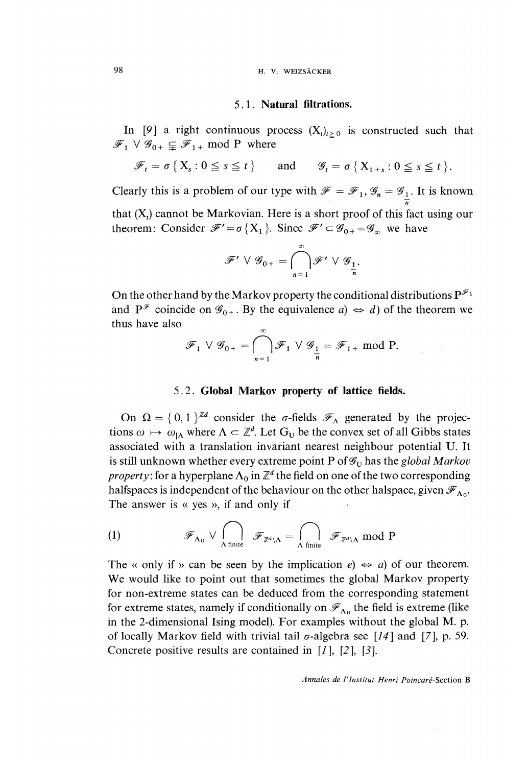## 5.1. Natural filtrations.

In [9] a right continuous process  $(X_t)_{t\geq 0}$  is constructed such that  $\mathscr{F}_1 \vee \mathscr{G}_{0+} \subsetneq \mathscr{F}_{1+}$  mod P where

$$
\mathscr{F}_t = \sigma \{ X_s : 0 \le s \le t \} \quad \text{and} \quad \mathscr{G}_t = \sigma \{ X_{1+s} : 0 \le s \le t \}.
$$

Clearly this is a problem of our type with  $\mathscr{F} = \mathscr{F}_1$ ,  $\mathscr{G}_n = \mathscr{G}_{\frac{1}{n}}$ . It is known that  $(X_t)$  cannot be Markovian. Here is a short proof of this fact using our theorem: Consider  $\mathscr{F}' = \sigma\{X_1\}$ . Since  $\mathscr{F}' \subset \mathscr{G}_{0+} = \mathscr{G}_{\infty}$  we have

$$
\mathcal{F}' \vee \mathcal{G}_{0+} = \bigcap_{n=1}^{\infty} \mathcal{F}' \vee \mathcal{G}_{\underbrace{1}_{n}}.
$$

On the other hand by the Markov property the conditional distributions  $P^{\mathscr{F}_1}$ and  $P^{\mathscr{F}}$  coincide on  $\mathscr{G}_{0+}$ . By the equivalence  $a \Rightarrow d$  of the theorem we thus have also  $\sim$ 

$$
\mathscr{F}_1 \vee \mathscr{G}_{0+} = \bigcap_{n=1}^{\infty} \mathscr{F}_1 \vee \mathscr{G}_{\frac{1}{n}} = \mathscr{F}_{1+} \text{ mod } P.
$$

## 5.2. Global Markov property of lattice fields.

On  $\Omega = \{0, 1\}^{\mathbb{Z}^d}$  consider the  $\sigma$ -fields  $\mathscr{F}_{\Lambda}$  generated by the projections  $\omega \mapsto \omega_{\vert \Lambda}$  where  $\Lambda \subset \mathbb{Z}^d$ . Let  $G_U$  be the convex set of all Gibbs states associated with a translation invariant nearest neighbour potential U. It is still unknown whether every extreme point P of  $\mathcal{G}_U$  has the global Markov property: for a hyperplane  $\Lambda_0$  in  $\mathbb{Z}^d$  the field on one of the two corresponding halfspaces is independent of the behaviour on the other halspace, given  $\mathscr{F}_{\Delta_{0}}$ . The answer is  $\ll$  yes  $\gg$ , if and only if

(1) 
$$
\mathscr{F}_{\Lambda_0} \vee \bigcap_{\Lambda \text{ finite}} \mathscr{F}_{\mathbb{Z}^d \setminus \Lambda} = \bigcap_{\Lambda \text{ finite}} \mathscr{F}_{\mathbb{Z}^d \setminus \Lambda} \text{ mod } P
$$

The « only if » can be seen by the implication  $e \rightarrow a$ ) of our theorem. We would like to point out that sometimes the global Markov property for non-extreme states can be deduced from the corresponding statement for extreme states, namely if conditionally on  $\mathscr{F}_{\Lambda_0}$  the field is extreme (like in the 2-dimensional Ising model). For examples without the global M. p. of locally Markov field with trivial tail  $\sigma$ -algebra see [14] and [7], p. 59. Concrete positive results are contained in  $[1]$ ,  $[2]$ ,  $[3]$ .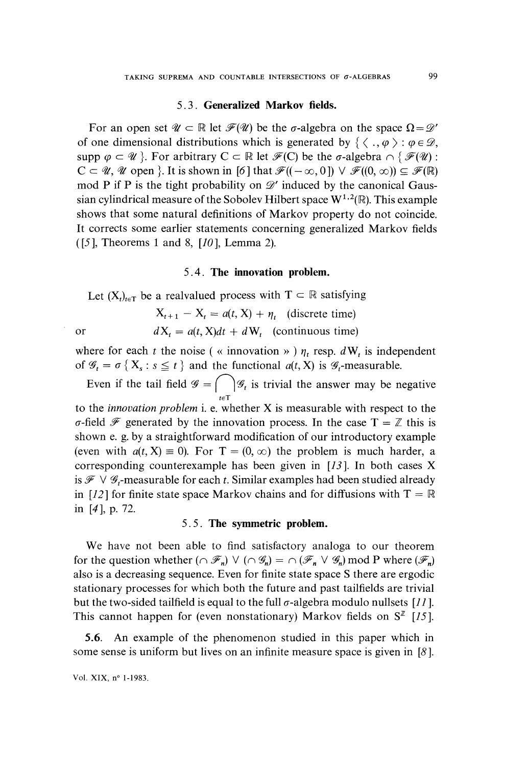#### 5.3. Generalized Markov fields.

For an open set  $\mathscr{U} \subset \mathbb{R}$  let  $\mathscr{F}(\mathscr{U})$  be the  $\sigma$ -algebra on the space  $\Omega = \mathscr{D}'$ of one dimensional distributions which is generated by  $\{ \langle , \varphi \rangle : \varphi \in \mathcal{D}, \varphi \}$ . supp  $\varphi \subset \mathscr{U}$ . For arbitrary  $C \subset \mathbb{R}$  let  $\mathscr{F}(C)$  be the  $\sigma$ -algebra  $\cap \{ \mathscr{F}(U) :$  $C \subset \mathcal{U}, \mathcal{U}$  open }. It is shown in [6] that  $\mathcal{F}((-\infty,0]) \vee \mathcal{F}((0,\infty)) \subseteq \mathcal{F}(\mathbb{R})$ mod P if P is the tight probability on  $\mathscr{D}'$  induced by the canonical Gaussian cylindrical measure of the Sobolev Hilbert space  $W^{1,2}(\mathbb{R})$ . This example shows that some natural definitions of Markov property do not coincide. It corrects some earlier statements concerning generalized Markov fields  $(5]$ , Theorems 1 and 8,  $[10]$ , Lemma 2).

### 5.4. The innovation problem.

Let  $(X_t)_{t\in\mathbb{T}}$  be a realvalued process with  $T \subset \mathbb{R}$  satisfying

$$
X_{t+1} - X_t = a(t, X) + \eta_t \quad \text{(discrete time)}
$$
\nor

\n
$$
dX_t = a(t, X)dt + dW_t \quad \text{(continuous time)}
$$

where for each t the noise ( $\kappa$  innovation  $\nu$ )  $\eta_t$  resp.  $dW_t$  is independent of  $\mathcal{G}_t = \sigma \{X_s : s \leq t\}$  and the functional  $a(t, X)$  is  $\mathcal{G}_t$ -measurable.

Even if the tail field  $\mathcal{G} = \int_{t \in T} |\mathcal{G}_t|$  is trivial the answer may be negative to the *innovation problem* i. e. whether  $X$  is measurable with respect to the  $\sigma$ -field  $\mathscr F$  generated by the innovation process. In the case T =  $\mathbb Z$  this is shown e. g. by a straightforward modification of our introductory example (even with  $a(t, X) \equiv 0$ ). For  $T = (0, \infty)$  the problem is much harder, a corresponding counterexample has been given in  $[13]$ . In both cases X is  $\mathscr{F} \vee \mathscr{G}_t$ -measurable for each t. Similar examples had been studied already in [12] for finite state space Markov chains and for diffusions with  $T = \mathbb{R}$ in [4 ], p. 72.

## 5.5. The symmetric problem.

We have not been able to find satisfactory analoga to our theorem for the question whether  $(\cap \mathcal{F}_n) \vee (\cap \mathcal{G}_n) = \cap (\mathcal{F}_n \vee \mathcal{G}_n)$  mod P where  $(\mathcal{F}_n)$ also is a decreasing sequence. Even for finite state space S there are ergodic stationary processes for which both the future and past tailfields are trivial but the two-sided tailfield is equal to the full  $\sigma$ -algebra modulo nullsets [11]. This cannot happen for (even nonstationary) Markov fields on  $S^{\mathbb{Z}}$  [15].

5.6. An example of the phenomenon studied in this paper which in some sense is uniform but lives on an infinite measure space is given in [8 ].